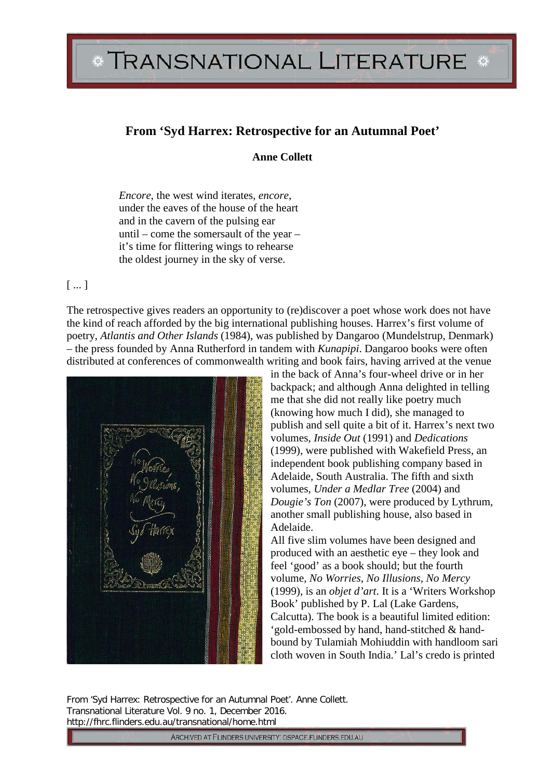## TRANSNATIONAL LITERATURE \*

## **From 'Syd Harrex: Retrospective for an Autumnal Poet'**

**Anne Collett**

*Encore*, the west wind iterates, *encore*, under the eaves of the house of the heart and in the cavern of the pulsing ear until – come the somersault of the year – it's time for flittering wings to rehearse the oldest journey in the sky of verse.

## [ ... ]

The retrospective gives readers an opportunity to (re)discover a poet whose work does not have the kind of reach afforded by the big international publishing houses. Harrex's first volume of poetry, *Atlantis and Other Islands* (1984), was published by Dangaroo (Mundelstrup, Denmark) – the press founded by Anna Rutherford in tandem with *Kunapipi*. Dangaroo books were often distributed at conferences of commonwealth writing and book fairs, having arrived at the venue

in the back of Anna's four-wheel drive or in her backpack; and although Anna delighted in telling me that she did not really like poetry much (knowing how much I did), she managed to publish and sell quite a bit of it. Harrex's next two volumes, *Inside Out* (1991) and *Dedications* (1999), were published with Wakefield Press, an independent book publishing company based in Adelaide, South Australia. The fifth and sixth volumes, *Under a Medlar Tree* (2004) and *Dougie's Ton* (2007), were produced by Lythrum, another small publishing house, also based in Adelaide.

All five slim volumes have been designed and produced with an aesthetic eye – they look and feel 'good' as a book should; but the fourth volume, *No Worries, No Illusions, No Mercy* (1999), is an *objet d'art*. It is a 'Writers Workshop Book' published by P. Lal (Lake Gardens, Calcutta). The book is a beautiful limited edition: 'gold-embossed by hand, hand-stitched & handbound by Tulamiah Mohiuddin with handloom sari cloth woven in South India.' Lal's credo is printed

From 'Syd Harrex: Retrospective for an Autumnal Poet'. Anne Collett. Transnational Literature Vol. 9 no. 1, December 2016. http://fhrc.flinders.edu.au/transnational/home.html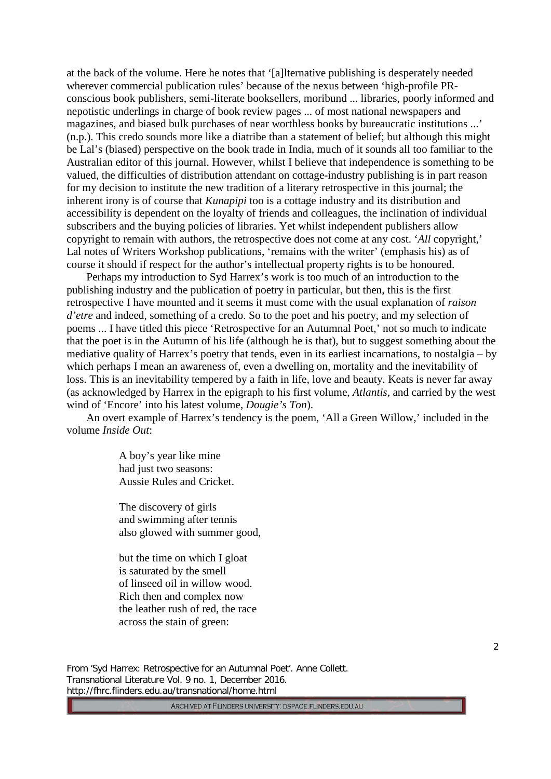at the back of the volume. Here he notes that '[a]lternative publishing is desperately needed wherever commercial publication rules' because of the nexus between 'high-profile PRconscious book publishers, semi-literate booksellers, moribund ... libraries, poorly informed and nepotistic underlings in charge of book review pages ... of most national newspapers and magazines, and biased bulk purchases of near worthless books by bureaucratic institutions ...' (n.p.). This credo sounds more like a diatribe than a statement of belief; but although this might be Lal's (biased) perspective on the book trade in India, much of it sounds all too familiar to the Australian editor of this journal. However, whilst I believe that independence is something to be valued, the difficulties of distribution attendant on cottage-industry publishing is in part reason for my decision to institute the new tradition of a literary retrospective in this journal; the inherent irony is of course that *Kunapipi* too is a cottage industry and its distribution and accessibility is dependent on the loyalty of friends and colleagues, the inclination of individual subscribers and the buying policies of libraries. Yet whilst independent publishers allow copyright to remain with authors, the retrospective does not come at any cost. '*All* copyright,' Lal notes of Writers Workshop publications, 'remains with the writer' (emphasis his) as of course it should if respect for the author's intellectual property rights is to be honoured.

Perhaps my introduction to Syd Harrex's work is too much of an introduction to the publishing industry and the publication of poetry in particular, but then, this is the first retrospective I have mounted and it seems it must come with the usual explanation of *raison d'etre* and indeed, something of a credo. So to the poet and his poetry, and my selection of poems ... I have titled this piece 'Retrospective for an Autumnal Poet,' not so much to indicate that the poet is in the Autumn of his life (although he is that), but to suggest something about the mediative quality of Harrex's poetry that tends, even in its earliest incarnations, to nostalgia – by which perhaps I mean an awareness of, even a dwelling on, mortality and the inevitability of loss. This is an inevitability tempered by a faith in life, love and beauty. Keats is never far away (as acknowledged by Harrex in the epigraph to his first volume, *Atlantis*, and carried by the west wind of 'Encore' into his latest volume, *Dougie's Ton*).

An overt example of Harrex's tendency is the poem, 'All a Green Willow,' included in the volume *Inside Out*:

> A boy's year like mine had just two seasons: Aussie Rules and Cricket.

The discovery of girls and swimming after tennis also glowed with summer good,

but the time on which I gloat is saturated by the smell of linseed oil in willow wood. Rich then and complex now the leather rush of red, the race across the stain of green:

From 'Syd Harrex: Retrospective for an Autumnal Poet'. Anne Collett. Transnational Literature Vol. 9 no. 1, December 2016. http://fhrc.flinders.edu.au/transnational/home.html

ARCHIVED AT FLINDERS UNIVERSITY: DSPACE.FLINDERS.EDU.AU

2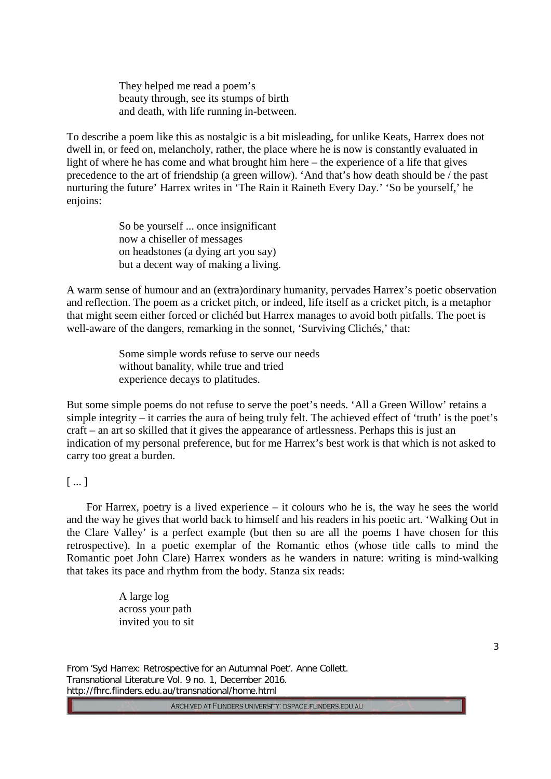They helped me read a poem's beauty through, see its stumps of birth and death, with life running in-between.

To describe a poem like this as nostalgic is a bit misleading, for unlike Keats, Harrex does not dwell in, or feed on, melancholy, rather, the place where he is now is constantly evaluated in light of where he has come and what brought him here – the experience of a life that gives precedence to the art of friendship (a green willow). 'And that's how death should be / the past nurturing the future' Harrex writes in 'The Rain it Raineth Every Day.' 'So be yourself,' he enjoins:

> So be yourself ... once insignificant now a chiseller of messages on headstones (a dying art you say) but a decent way of making a living.

A warm sense of humour and an (extra)ordinary humanity, pervades Harrex's poetic observation and reflection. The poem as a cricket pitch, or indeed, life itself as a cricket pitch, is a metaphor that might seem either forced or clichéd but Harrex manages to avoid both pitfalls. The poet is well-aware of the dangers, remarking in the sonnet, 'Surviving Clichés,' that:

> Some simple words refuse to serve our needs without banality, while true and tried experience decays to platitudes.

But some simple poems do not refuse to serve the poet's needs. 'All a Green Willow' retains a simple integrity – it carries the aura of being truly felt. The achieved effect of 'truth' is the poet's craft – an art so skilled that it gives the appearance of artlessness. Perhaps this is just an indication of my personal preference, but for me Harrex's best work is that which is not asked to carry too great a burden.

## [ ... ]

For Harrex, poetry is a lived experience – it colours who he is, the way he sees the world and the way he gives that world back to himself and his readers in his poetic art. 'Walking Out in the Clare Valley' is a perfect example (but then so are all the poems I have chosen for this retrospective). In a poetic exemplar of the Romantic ethos (whose title calls to mind the Romantic poet John Clare) Harrex wonders as he wanders in nature: writing is mind-walking that takes its pace and rhythm from the body. Stanza six reads:

> A large log across your path invited you to sit

> > 3

From 'Syd Harrex: Retrospective for an Autumnal Poet'. Anne Collett. Transnational Literature Vol. 9 no. 1, December 2016. http://fhrc.flinders.edu.au/transnational/home.html

ARCHIVED AT FLINDERS UNIVERSITY. DSPACE.FLINDERS.EDU.AU